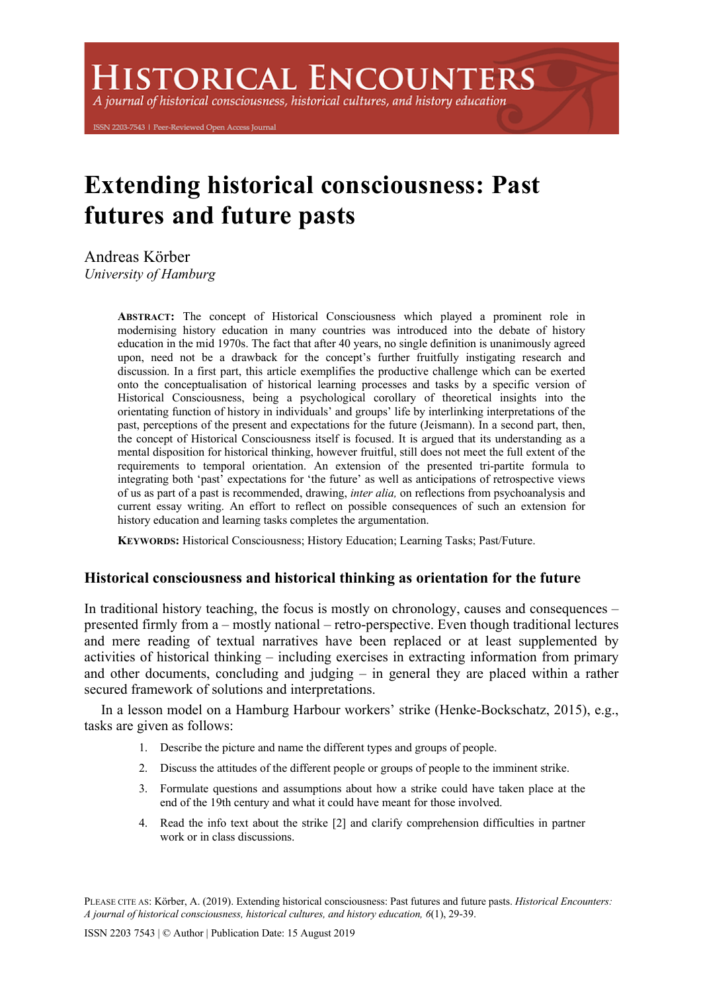**ISTORICAL ENCOUNTERS** 

A journal of historical consciousness, historical cultures, and history education

ISSN 2203-7543 | Peer-Reviewed Open Access Journal

# **Extending historical consciousness: Past futures and future pasts**

Andreas Körber *University of Hamburg*

> **ABSTRACT:** The concept of Historical Consciousness which played a prominent role in modernising history education in many countries was introduced into the debate of history education in the mid 1970s. The fact that after 40 years, no single definition is unanimously agreed upon, need not be a drawback for the concept's further fruitfully instigating research and discussion. In a first part, this article exemplifies the productive challenge which can be exerted onto the conceptualisation of historical learning processes and tasks by a specific version of Historical Consciousness, being a psychological corollary of theoretical insights into the orientating function of history in individuals' and groups' life by interlinking interpretations of the past, perceptions of the present and expectations for the future (Jeismann). In a second part, then, the concept of Historical Consciousness itself is focused. It is argued that its understanding as a mental disposition for historical thinking, however fruitful, still does not meet the full extent of the requirements to temporal orientation. An extension of the presented tri-partite formula to integrating both 'past' expectations for 'the future' as well as anticipations of retrospective views of us as part of a past is recommended, drawing, *inter alia,* on reflections from psychoanalysis and current essay writing. An effort to reflect on possible consequences of such an extension for history education and learning tasks completes the argumentation.

**KEYWORDS:** Historical Consciousness; History Education; Learning Tasks; Past/Future.

# **Historical consciousness and historical thinking as orientation for the future**

In traditional history teaching, the focus is mostly on chronology, causes and consequences – presented firmly from a – mostly national – retro-perspective. Even though traditional lectures and mere reading of textual narratives have been replaced or at least supplemented by activities of historical thinking – including exercises in extracting information from primary and other documents, concluding and judging – in general they are placed within a rather secured framework of solutions and interpretations.

In a lesson model on a Hamburg Harbour workers' strike (Henke-Bockschatz, 2015), e.g., tasks are given as follows:

- 1. Describe the picture and name the different types and groups of people.
- 2. Discuss the attitudes of the different people or groups of people to the imminent strike.
- 3. Formulate questions and assumptions about how a strike could have taken place at the end of the 19th century and what it could have meant for those involved.
- 4. Read the info text about the strike [2] and clarify comprehension difficulties in partner work or in class discussions.

PLEASE CITE AS: Körber, A. (2019). Extending historical consciousness: Past futures and future pasts. *Historical Encounters: A journal of historical consciousness, historical cultures, and history education, 6*(1), 29-39.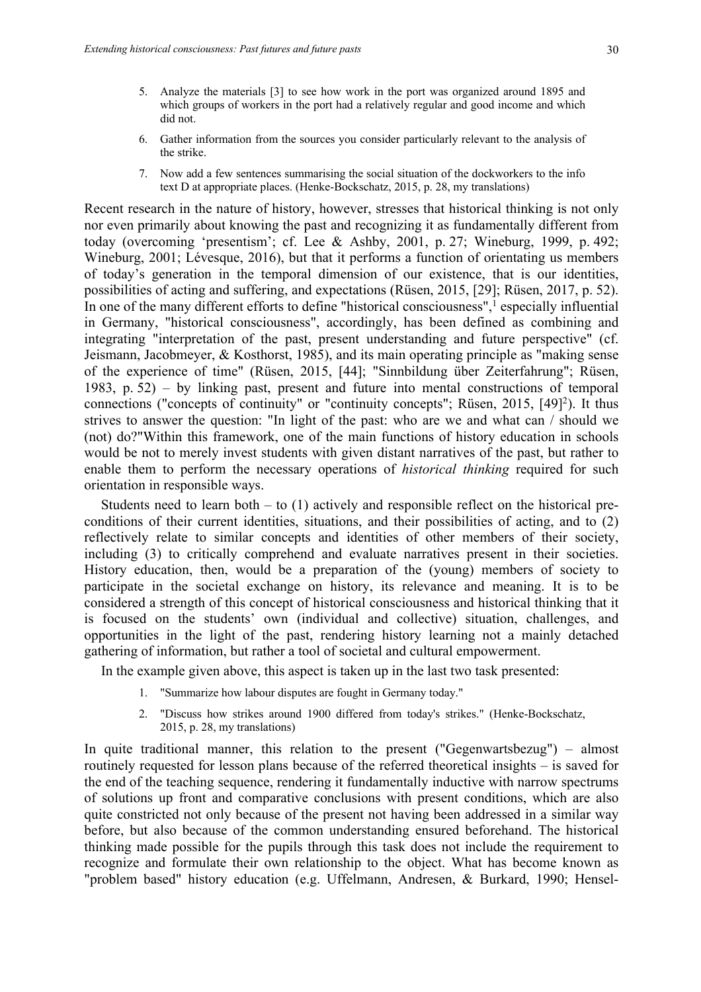- 5. Analyze the materials [3] to see how work in the port was organized around 1895 and which groups of workers in the port had a relatively regular and good income and which did not.
- 6. Gather information from the sources you consider particularly relevant to the analysis of the strike.
- 7. Now add a few sentences summarising the social situation of the dockworkers to the info text D at appropriate places. (Henke-Bockschatz, 2015, p. 28, my translations)

Recent research in the nature of history, however, stresses that historical thinking is not only nor even primarily about knowing the past and recognizing it as fundamentally different from today (overcoming 'presentism'; cf. Lee & Ashby, 2001, p. 27; Wineburg, 1999, p. 492; Wineburg, 2001; Lévesque, 2016), but that it performs a function of orientating us members of today's generation in the temporal dimension of our existence, that is our identities, possibilities of acting and suffering, and expectations (Rüsen, 2015, [29]; Rüsen, 2017, p. 52). In one of the many different efforts to define "historical consciousness",<sup>1</sup> especially influential in Germany, "historical consciousness", accordingly, has been defined as combining and integrating "interpretation of the past, present understanding and future perspective" (cf. Jeismann, Jacobmeyer, & Kosthorst, 1985), and its main operating principle as "making sense of the experience of time" (Rüsen, 2015, [44]; "Sinnbildung über Zeiterfahrung"; Rüsen, 1983, p. 52) – by linking past, present and future into mental constructions of temporal connections ("concepts of continuity" or "continuity concepts"; Rüsen, 2015,  $[49]$ <sup>2</sup>). It thus strives to answer the question: "In light of the past: who are we and what can / should we (not) do?"Within this framework, one of the main functions of history education in schools would be not to merely invest students with given distant narratives of the past, but rather to enable them to perform the necessary operations of *historical thinking* required for such orientation in responsible ways.

Students need to learn both  $-$  to  $(1)$  actively and responsible reflect on the historical preconditions of their current identities, situations, and their possibilities of acting, and to (2) reflectively relate to similar concepts and identities of other members of their society, including (3) to critically comprehend and evaluate narratives present in their societies. History education, then, would be a preparation of the (young) members of society to participate in the societal exchange on history, its relevance and meaning. It is to be considered a strength of this concept of historical consciousness and historical thinking that it is focused on the students' own (individual and collective) situation, challenges, and opportunities in the light of the past, rendering history learning not a mainly detached gathering of information, but rather a tool of societal and cultural empowerment.

In the example given above, this aspect is taken up in the last two task presented:

- 1. "Summarize how labour disputes are fought in Germany today."
- 2. "Discuss how strikes around 1900 differed from today's strikes." (Henke-Bockschatz, 2015, p. 28, my translations)

In quite traditional manner, this relation to the present ("Gegenwartsbezug") – almost routinely requested for lesson plans because of the referred theoretical insights – is saved for the end of the teaching sequence, rendering it fundamentally inductive with narrow spectrums of solutions up front and comparative conclusions with present conditions, which are also quite constricted not only because of the present not having been addressed in a similar way before, but also because of the common understanding ensured beforehand. The historical thinking made possible for the pupils through this task does not include the requirement to recognize and formulate their own relationship to the object. What has become known as "problem based" history education (e.g. Uffelmann, Andresen, & Burkard, 1990; Hensel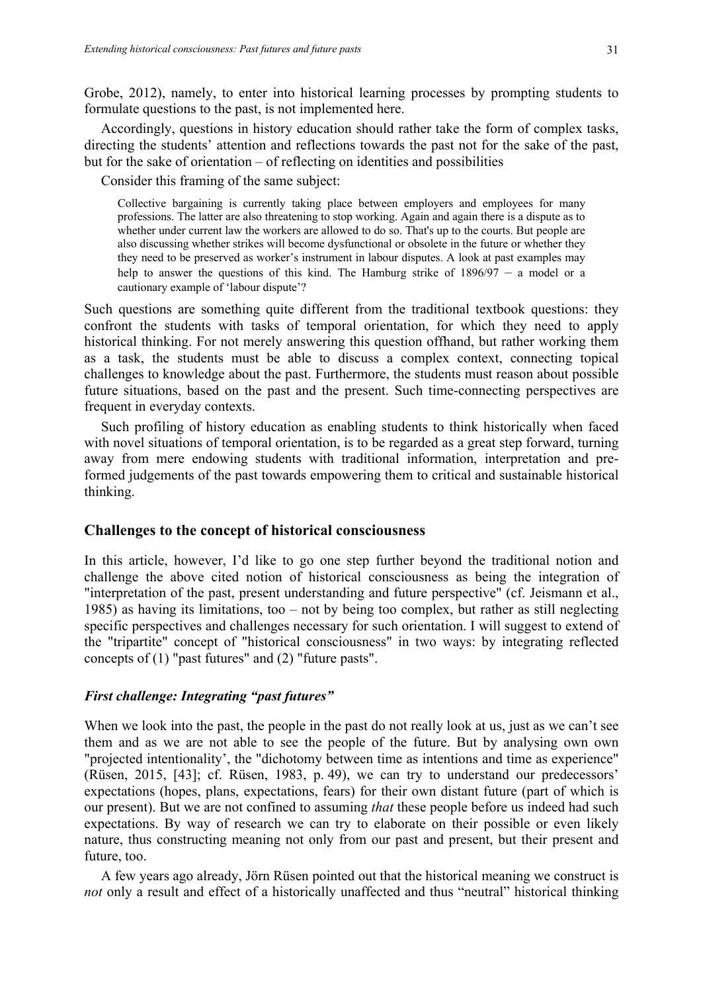Grobe, 2012), namely, to enter into historical learning processes by prompting students to formulate questions to the past, is not implemented here.

Accordingly, questions in history education should rather take the form of complex tasks, directing the students' attention and reflections towards the past not for the sake of the past, but for the sake of orientation – of reflecting on identities and possibilities

Consider this framing of the same subject:

Collective bargaining is currently taking place between employers and employees for many professions. The latter are also threatening to stop working. Again and again there is a dispute as to whether under current law the workers are allowed to do so. That's up to the courts. But people are also discussing whether strikes will become dysfunctional or obsolete in the future or whether they they need to be preserved as worker's instrument in labour disputes. A look at past examples may help to answer the questions of this kind. The Hamburg strike of 1896/97 – a model or a cautionary example of 'labour dispute'?

Such questions are something quite different from the traditional textbook questions: they confront the students with tasks of temporal orientation, for which they need to apply historical thinking. For not merely answering this question offhand, but rather working them as a task, the students must be able to discuss a complex context, connecting topical challenges to knowledge about the past. Furthermore, the students must reason about possible future situations, based on the past and the present. Such time-connecting perspectives are frequent in everyday contexts.

Such profiling of history education as enabling students to think historically when faced with novel situations of temporal orientation, is to be regarded as a great step forward, turning away from mere endowing students with traditional information, interpretation and preformed judgements of the past towards empowering them to critical and sustainable historical thinking.

## **Challenges to the concept of historical consciousness**

In this article, however, I'd like to go one step further beyond the traditional notion and challenge the above cited notion of historical consciousness as being the integration of "interpretation of the past, present understanding and future perspective" (cf. Jeismann et al., 1985) as having its limitations, too – not by being too complex, but rather as still neglecting specific perspectives and challenges necessary for such orientation. I will suggest to extend of the "tripartite" concept of "historical consciousness" in two ways: by integrating reflected concepts of (1) "past futures" and (2) "future pasts".

## *First challenge: Integrating "past futures"*

When we look into the past, the people in the past do not really look at us, just as we can't see them and as we are not able to see the people of the future. But by analysing own own "projected intentionality', the "dichotomy between time as intentions and time as experience" (Rüsen, 2015, [43]; cf. Rüsen, 1983, p. 49), we can try to understand our predecessors' expectations (hopes, plans, expectations, fears) for their own distant future (part of which is our present). But we are not confined to assuming *that* these people before us indeed had such expectations. By way of research we can try to elaborate on their possible or even likely nature, thus constructing meaning not only from our past and present, but their present and future, too.

A few years ago already, Jörn Rüsen pointed out that the historical meaning we construct is *not* only a result and effect of a historically unaffected and thus "neutral" historical thinking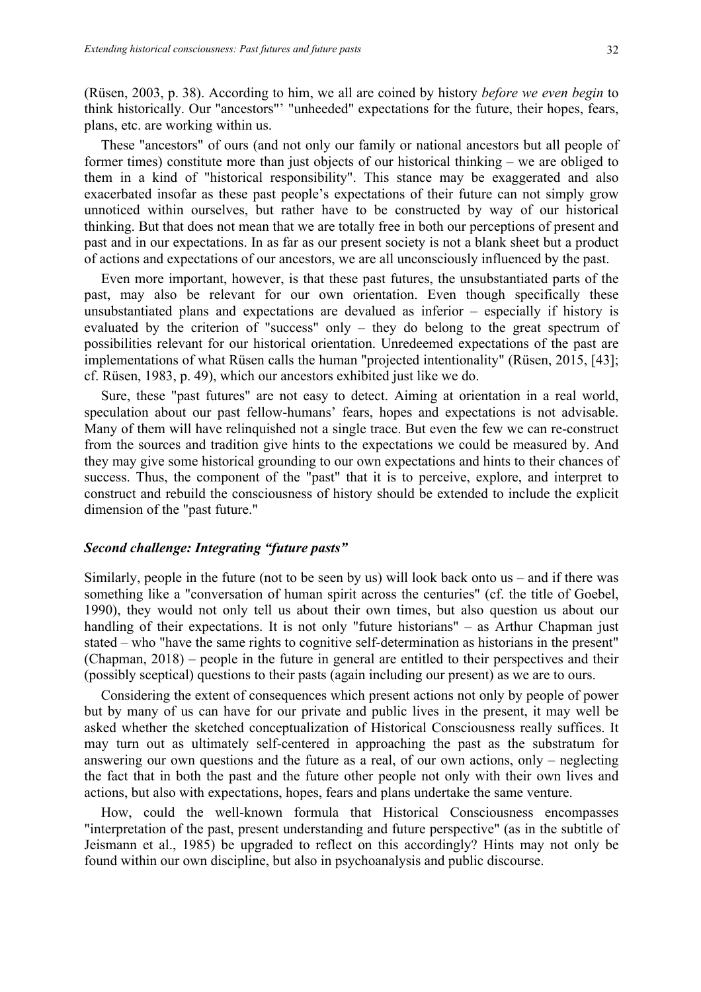(Rüsen, 2003, p. 38). According to him, we all are coined by history *before we even begin* to think historically. Our "ancestors"' "unheeded" expectations for the future, their hopes, fears, plans, etc. are working within us.

These "ancestors" of ours (and not only our family or national ancestors but all people of former times) constitute more than just objects of our historical thinking – we are obliged to them in a kind of "historical responsibility". This stance may be exaggerated and also exacerbated insofar as these past people's expectations of their future can not simply grow unnoticed within ourselves, but rather have to be constructed by way of our historical thinking. But that does not mean that we are totally free in both our perceptions of present and past and in our expectations. In as far as our present society is not a blank sheet but a product of actions and expectations of our ancestors, we are all unconsciously influenced by the past.

Even more important, however, is that these past futures, the unsubstantiated parts of the past, may also be relevant for our own orientation. Even though specifically these unsubstantiated plans and expectations are devalued as inferior – especially if history is evaluated by the criterion of "success" only – they do belong to the great spectrum of possibilities relevant for our historical orientation. Unredeemed expectations of the past are implementations of what Rüsen calls the human "projected intentionality" (Rüsen, 2015, [43]; cf. Rüsen, 1983, p. 49), which our ancestors exhibited just like we do.

Sure, these "past futures" are not easy to detect. Aiming at orientation in a real world, speculation about our past fellow-humans' fears, hopes and expectations is not advisable. Many of them will have relinquished not a single trace. But even the few we can re-construct from the sources and tradition give hints to the expectations we could be measured by. And they may give some historical grounding to our own expectations and hints to their chances of success. Thus, the component of the "past" that it is to perceive, explore, and interpret to construct and rebuild the consciousness of history should be extended to include the explicit dimension of the "past future."

# *Second challenge: Integrating "future pasts"*

Similarly, people in the future (not to be seen by us) will look back onto us – and if there was something like a "conversation of human spirit across the centuries" (cf. the title of Goebel, 1990), they would not only tell us about their own times, but also question us about our handling of their expectations. It is not only "future historians" – as Arthur Chapman just stated – who "have the same rights to cognitive self-determination as historians in the present" (Chapman, 2018) – people in the future in general are entitled to their perspectives and their (possibly sceptical) questions to their pasts (again including our present) as we are to ours.

Considering the extent of consequences which present actions not only by people of power but by many of us can have for our private and public lives in the present, it may well be asked whether the sketched conceptualization of Historical Consciousness really suffices. It may turn out as ultimately self-centered in approaching the past as the substratum for answering our own questions and the future as a real, of our own actions, only – neglecting the fact that in both the past and the future other people not only with their own lives and actions, but also with expectations, hopes, fears and plans undertake the same venture.

How, could the well-known formula that Historical Consciousness encompasses "interpretation of the past, present understanding and future perspective" (as in the subtitle of Jeismann et al., 1985) be upgraded to reflect on this accordingly? Hints may not only be found within our own discipline, but also in psychoanalysis and public discourse.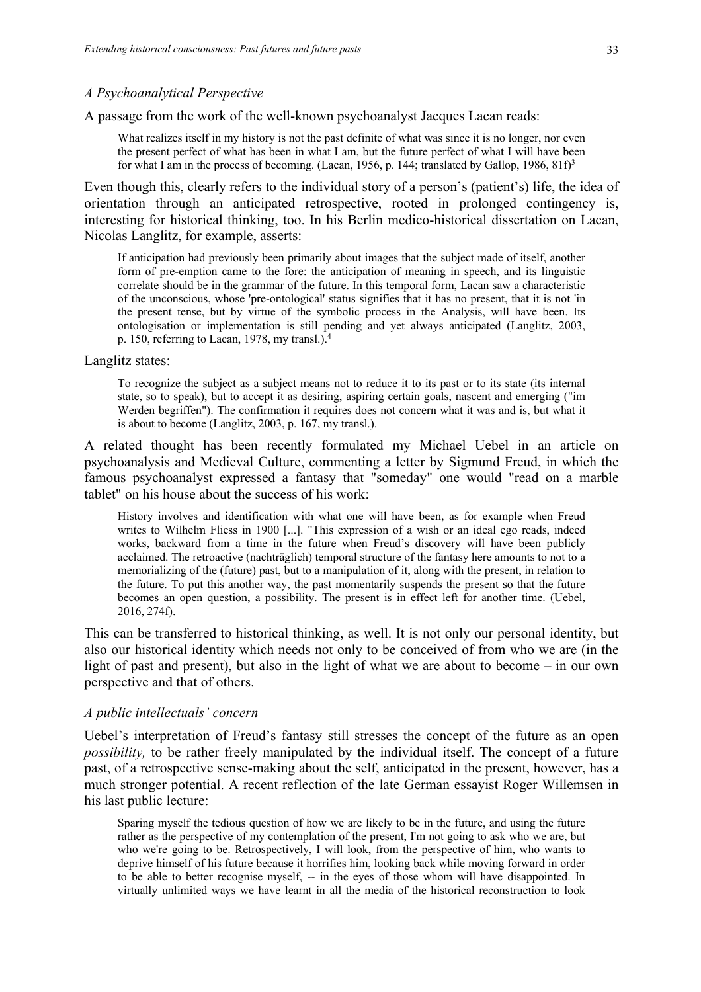A passage from the work of the well-known psychoanalyst Jacques Lacan reads:

What realizes itself in my history is not the past definite of what was since it is no longer, nor even the present perfect of what has been in what I am, but the future perfect of what I will have been for what I am in the process of becoming. (Lacan, 1956, p. 144; translated by Gallop, 1986,  $81f<sup>3</sup>$ )

Even though this, clearly refers to the individual story of a person's (patient's) life, the idea of orientation through an anticipated retrospective, rooted in prolonged contingency is, interesting for historical thinking, too. In his Berlin medico-historical dissertation on Lacan, Nicolas Langlitz, for example, asserts:

If anticipation had previously been primarily about images that the subject made of itself, another form of pre-emption came to the fore: the anticipation of meaning in speech, and its linguistic correlate should be in the grammar of the future. In this temporal form, Lacan saw a characteristic of the unconscious, whose 'pre-ontological' status signifies that it has no present, that it is not 'in the present tense, but by virtue of the symbolic process in the Analysis, will have been. Its ontologisation or implementation is still pending and yet always anticipated (Langlitz, 2003, p. 150, referring to Lacan, 1978, my transl.).4

#### Langlitz states:

To recognize the subject as a subject means not to reduce it to its past or to its state (its internal state, so to speak), but to accept it as desiring, aspiring certain goals, nascent and emerging ("im Werden begriffen"). The confirmation it requires does not concern what it was and is, but what it is about to become (Langlitz, 2003, p. 167, my transl.).

A related thought has been recently formulated my Michael Uebel in an article on psychoanalysis and Medieval Culture, commenting a letter by Sigmund Freud, in which the famous psychoanalyst expressed a fantasy that "someday" one would "read on a marble tablet" on his house about the success of his work:

History involves and identification with what one will have been, as for example when Freud writes to Wilhelm Fliess in 1900 [...]. "This expression of a wish or an ideal ego reads, indeed works, backward from a time in the future when Freud's discovery will have been publicly acclaimed. The retroactive (nachträglich) temporal structure of the fantasy here amounts to not to a memorializing of the (future) past, but to a manipulation of it, along with the present, in relation to the future. To put this another way, the past momentarily suspends the present so that the future becomes an open question, a possibility. The present is in effect left for another time. (Uebel, 2016, 274f).

This can be transferred to historical thinking, as well. It is not only our personal identity, but also our historical identity which needs not only to be conceived of from who we are (in the light of past and present), but also in the light of what we are about to become – in our own perspective and that of others.

#### *A public intellectuals' concern*

Uebel's interpretation of Freud's fantasy still stresses the concept of the future as an open *possibility,* to be rather freely manipulated by the individual itself. The concept of a future past, of a retrospective sense-making about the self, anticipated in the present, however, has a much stronger potential. A recent reflection of the late German essayist Roger Willemsen in his last public lecture:

Sparing myself the tedious question of how we are likely to be in the future, and using the future rather as the perspective of my contemplation of the present, I'm not going to ask who we are, but who we're going to be. Retrospectively, I will look, from the perspective of him, who wants to deprive himself of his future because it horrifies him, looking back while moving forward in order to be able to better recognise myself, -- in the eyes of those whom will have disappointed. In virtually unlimited ways we have learnt in all the media of the historical reconstruction to look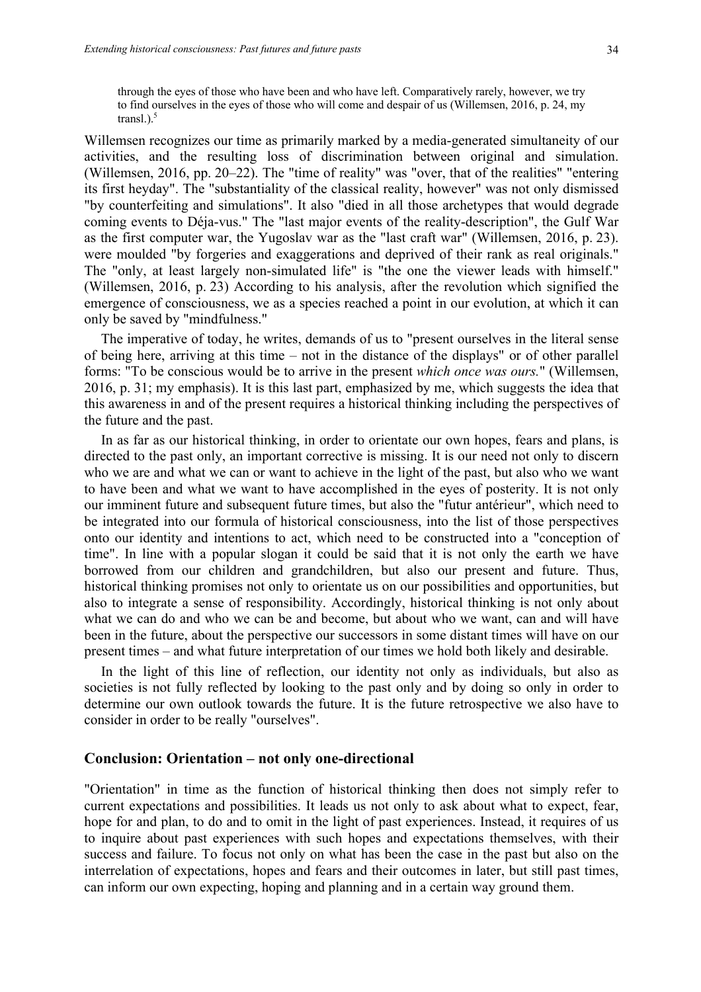through the eyes of those who have been and who have left. Comparatively rarely, however, we try to find ourselves in the eyes of those who will come and despair of us (Willemsen, 2016, p. 24, my transl.). $<sup>5</sup>$ </sup>

Willemsen recognizes our time as primarily marked by a media-generated simultaneity of our activities, and the resulting loss of discrimination between original and simulation. (Willemsen, 2016, pp. 20–22). The "time of reality" was "over, that of the realities" "entering its first heyday". The "substantiality of the classical reality, however" was not only dismissed "by counterfeiting and simulations". It also "died in all those archetypes that would degrade coming events to Déja-vus." The "last major events of the reality-description", the Gulf War as the first computer war, the Yugoslav war as the "last craft war" (Willemsen, 2016, p. 23). were moulded "by forgeries and exaggerations and deprived of their rank as real originals." The "only, at least largely non-simulated life" is "the one the viewer leads with himself." (Willemsen, 2016, p. 23) According to his analysis, after the revolution which signified the emergence of consciousness, we as a species reached a point in our evolution, at which it can only be saved by "mindfulness."

The imperative of today, he writes, demands of us to "present ourselves in the literal sense of being here, arriving at this time – not in the distance of the displays" or of other parallel forms: "To be conscious would be to arrive in the present *which once was ours.*" (Willemsen, 2016, p. 31; my emphasis). It is this last part, emphasized by me, which suggests the idea that this awareness in and of the present requires a historical thinking including the perspectives of the future and the past.

In as far as our historical thinking, in order to orientate our own hopes, fears and plans, is directed to the past only, an important corrective is missing. It is our need not only to discern who we are and what we can or want to achieve in the light of the past, but also who we want to have been and what we want to have accomplished in the eyes of posterity. It is not only our imminent future and subsequent future times, but also the "futur antérieur", which need to be integrated into our formula of historical consciousness, into the list of those perspectives onto our identity and intentions to act, which need to be constructed into a "conception of time". In line with a popular slogan it could be said that it is not only the earth we have borrowed from our children and grandchildren, but also our present and future. Thus, historical thinking promises not only to orientate us on our possibilities and opportunities, but also to integrate a sense of responsibility. Accordingly, historical thinking is not only about what we can do and who we can be and become, but about who we want, can and will have been in the future, about the perspective our successors in some distant times will have on our present times – and what future interpretation of our times we hold both likely and desirable.

In the light of this line of reflection, our identity not only as individuals, but also as societies is not fully reflected by looking to the past only and by doing so only in order to determine our own outlook towards the future. It is the future retrospective we also have to consider in order to be really "ourselves".

# **Conclusion: Orientation – not only one-directional**

"Orientation" in time as the function of historical thinking then does not simply refer to current expectations and possibilities. It leads us not only to ask about what to expect, fear, hope for and plan, to do and to omit in the light of past experiences. Instead, it requires of us to inquire about past experiences with such hopes and expectations themselves, with their success and failure. To focus not only on what has been the case in the past but also on the interrelation of expectations, hopes and fears and their outcomes in later, but still past times, can inform our own expecting, hoping and planning and in a certain way ground them.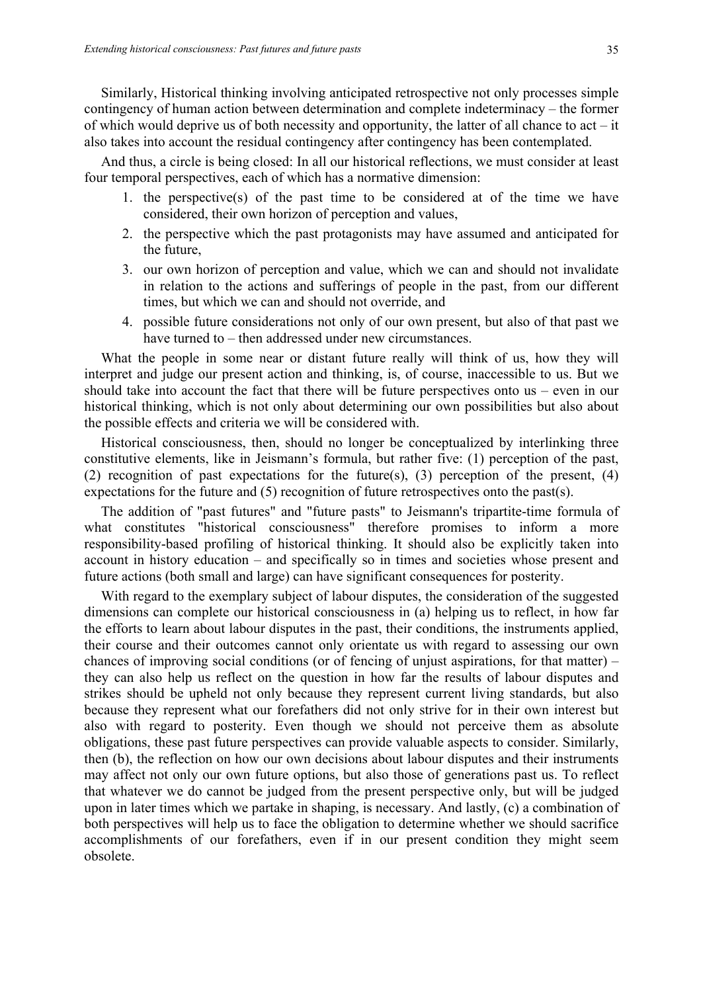Similarly, Historical thinking involving anticipated retrospective not only processes simple contingency of human action between determination and complete indeterminacy – the former of which would deprive us of both necessity and opportunity, the latter of all chance to act – it also takes into account the residual contingency after contingency has been contemplated.

And thus, a circle is being closed: In all our historical reflections, we must consider at least four temporal perspectives, each of which has a normative dimension:

- 1. the perspective(s) of the past time to be considered at of the time we have considered, their own horizon of perception and values,
- 2. the perspective which the past protagonists may have assumed and anticipated for the future,
- 3. our own horizon of perception and value, which we can and should not invalidate in relation to the actions and sufferings of people in the past, from our different times, but which we can and should not override, and
- 4. possible future considerations not only of our own present, but also of that past we have turned to – then addressed under new circumstances.

What the people in some near or distant future really will think of us, how they will interpret and judge our present action and thinking, is, of course, inaccessible to us. But we should take into account the fact that there will be future perspectives onto us – even in our historical thinking, which is not only about determining our own possibilities but also about the possible effects and criteria we will be considered with.

Historical consciousness, then, should no longer be conceptualized by interlinking three constitutive elements, like in Jeismann's formula, but rather five: (1) perception of the past, (2) recognition of past expectations for the future(s), (3) perception of the present, (4) expectations for the future and (5) recognition of future retrospectives onto the past(s).

The addition of "past futures" and "future pasts" to Jeismann's tripartite-time formula of what constitutes "historical consciousness" therefore promises to inform a more responsibility-based profiling of historical thinking. It should also be explicitly taken into account in history education – and specifically so in times and societies whose present and future actions (both small and large) can have significant consequences for posterity.

With regard to the exemplary subject of labour disputes, the consideration of the suggested dimensions can complete our historical consciousness in (a) helping us to reflect, in how far the efforts to learn about labour disputes in the past, their conditions, the instruments applied, their course and their outcomes cannot only orientate us with regard to assessing our own chances of improving social conditions (or of fencing of unjust aspirations, for that matter) – they can also help us reflect on the question in how far the results of labour disputes and strikes should be upheld not only because they represent current living standards, but also because they represent what our forefathers did not only strive for in their own interest but also with regard to posterity. Even though we should not perceive them as absolute obligations, these past future perspectives can provide valuable aspects to consider. Similarly, then (b), the reflection on how our own decisions about labour disputes and their instruments may affect not only our own future options, but also those of generations past us. To reflect that whatever we do cannot be judged from the present perspective only, but will be judged upon in later times which we partake in shaping, is necessary. And lastly, (c) a combination of both perspectives will help us to face the obligation to determine whether we should sacrifice accomplishments of our forefathers, even if in our present condition they might seem obsolete.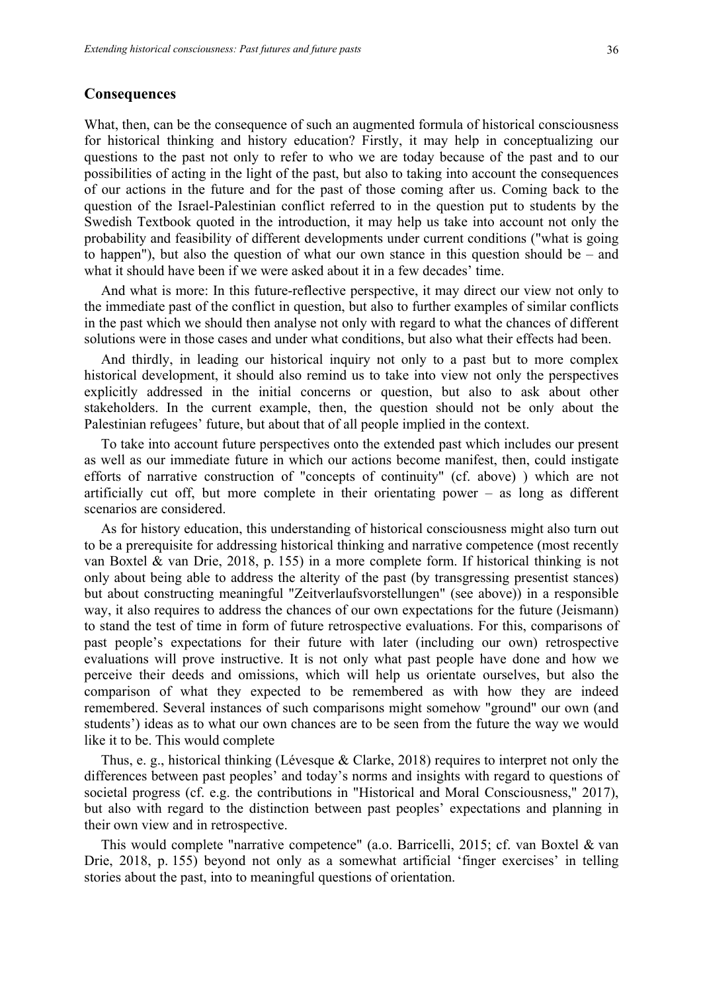#### **Consequences**

What, then, can be the consequence of such an augmented formula of historical consciousness for historical thinking and history education? Firstly, it may help in conceptualizing our questions to the past not only to refer to who we are today because of the past and to our possibilities of acting in the light of the past, but also to taking into account the consequences of our actions in the future and for the past of those coming after us. Coming back to the question of the Israel-Palestinian conflict referred to in the question put to students by the Swedish Textbook quoted in the introduction, it may help us take into account not only the probability and feasibility of different developments under current conditions ("what is going to happen"), but also the question of what our own stance in this question should be – and what it should have been if we were asked about it in a few decades' time.

And what is more: In this future-reflective perspective, it may direct our view not only to the immediate past of the conflict in question, but also to further examples of similar conflicts in the past which we should then analyse not only with regard to what the chances of different solutions were in those cases and under what conditions, but also what their effects had been.

And thirdly, in leading our historical inquiry not only to a past but to more complex historical development, it should also remind us to take into view not only the perspectives explicitly addressed in the initial concerns or question, but also to ask about other stakeholders. In the current example, then, the question should not be only about the Palestinian refugees' future, but about that of all people implied in the context.

To take into account future perspectives onto the extended past which includes our present as well as our immediate future in which our actions become manifest, then, could instigate efforts of narrative construction of "concepts of continuity" (cf. above) ) which are not artificially cut off, but more complete in their orientating power – as long as different scenarios are considered.

As for history education, this understanding of historical consciousness might also turn out to be a prerequisite for addressing historical thinking and narrative competence (most recently van Boxtel & van Drie, 2018, p. 155) in a more complete form. If historical thinking is not only about being able to address the alterity of the past (by transgressing presentist stances) but about constructing meaningful "Zeitverlaufsvorstellungen" (see above)) in a responsible way, it also requires to address the chances of our own expectations for the future (Jeismann) to stand the test of time in form of future retrospective evaluations. For this, comparisons of past people's expectations for their future with later (including our own) retrospective evaluations will prove instructive. It is not only what past people have done and how we perceive their deeds and omissions, which will help us orientate ourselves, but also the comparison of what they expected to be remembered as with how they are indeed remembered. Several instances of such comparisons might somehow "ground" our own (and students') ideas as to what our own chances are to be seen from the future the way we would like it to be. This would complete

Thus, e. g., historical thinking (Lévesque & Clarke, 2018) requires to interpret not only the differences between past peoples' and today's norms and insights with regard to questions of societal progress (cf. e.g. the contributions in "Historical and Moral Consciousness," 2017), but also with regard to the distinction between past peoples' expectations and planning in their own view and in retrospective.

This would complete "narrative competence" (a.o. Barricelli, 2015; cf. van Boxtel & van Drie, 2018, p. 155) beyond not only as a somewhat artificial 'finger exercises' in telling stories about the past, into to meaningful questions of orientation.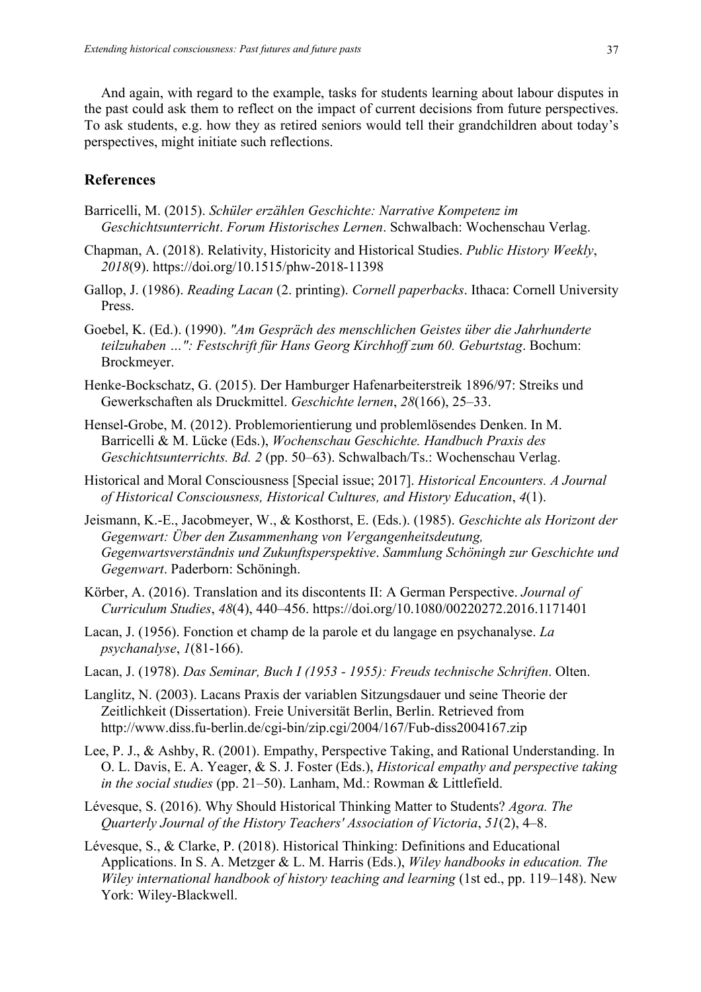And again, with regard to the example, tasks for students learning about labour disputes in the past could ask them to reflect on the impact of current decisions from future perspectives. To ask students, e.g. how they as retired seniors would tell their grandchildren about today's perspectives, might initiate such reflections.

# **References**

- Barricelli, M. (2015). *Schüler erzählen Geschichte: Narrative Kompetenz im Geschichtsunterricht*. *Forum Historisches Lernen*. Schwalbach: Wochenschau Verlag.
- Chapman, A. (2018). Relativity, Historicity and Historical Studies. *Public History Weekly*, *2018*(9). https://doi.org/10.1515/phw-2018-11398
- Gallop, J. (1986). *Reading Lacan* (2. printing). *Cornell paperbacks*. Ithaca: Cornell University Press.
- Goebel, K. (Ed.). (1990). *"Am Gespräch des menschlichen Geistes über die Jahrhunderte teilzuhaben …": Festschrift für Hans Georg Kirchhoff zum 60. Geburtstag*. Bochum: Brockmeyer.
- Henke-Bockschatz, G. (2015). Der Hamburger Hafenarbeiterstreik 1896/97: Streiks und Gewerkschaften als Druckmittel. *Geschichte lernen*, *28*(166), 25–33.
- Hensel-Grobe, M. (2012). Problemorientierung und problemlösendes Denken. In M. Barricelli & M. Lücke (Eds.), *Wochenschau Geschichte. Handbuch Praxis des Geschichtsunterrichts. Bd. 2* (pp. 50–63). Schwalbach/Ts.: Wochenschau Verlag.
- Historical and Moral Consciousness [Special issue; 2017]. *Historical Encounters. A Journal of Historical Consciousness, Historical Cultures, and History Education*, *4*(1).
- Jeismann, K.-E., Jacobmeyer, W., & Kosthorst, E. (Eds.). (1985). *Geschichte als Horizont der Gegenwart: Über den Zusammenhang von Vergangenheitsdeutung, Gegenwartsverständnis und Zukunftsperspektive*. *Sammlung Schöningh zur Geschichte und Gegenwart*. Paderborn: Schöningh.
- Körber, A. (2016). Translation and its discontents II: A German Perspective. *Journal of Curriculum Studies*, *48*(4), 440–456. https://doi.org/10.1080/00220272.2016.1171401
- Lacan, J. (1956). Fonction et champ de la parole et du langage en psychanalyse. *La psychanalyse*, *1*(81-166).
- Lacan, J. (1978). *Das Seminar, Buch I (1953 - 1955): Freuds technische Schriften*. Olten.
- Langlitz, N. (2003). Lacans Praxis der variablen Sitzungsdauer und seine Theorie der Zeitlichkeit (Dissertation). Freie Universität Berlin, Berlin. Retrieved from http://www.diss.fu-berlin.de/cgi-bin/zip.cgi/2004/167/Fub-diss2004167.zip
- Lee, P. J., & Ashby, R. (2001). Empathy, Perspective Taking, and Rational Understanding. In O. L. Davis, E. A. Yeager, & S. J. Foster (Eds.), *Historical empathy and perspective taking in the social studies* (pp. 21–50). Lanham, Md.: Rowman & Littlefield.
- Lévesque, S. (2016). Why Should Historical Thinking Matter to Students? *Agora. The Quarterly Journal of the History Teachers' Association of Victoria*, *51*(2), 4–8.
- Lévesque, S., & Clarke, P. (2018). Historical Thinking: Definitions and Educational Applications. In S. A. Metzger & L. M. Harris (Eds.), *Wiley handbooks in education. The Wiley international handbook of history teaching and learning* (1st ed., pp. 119–148). New York: Wiley-Blackwell.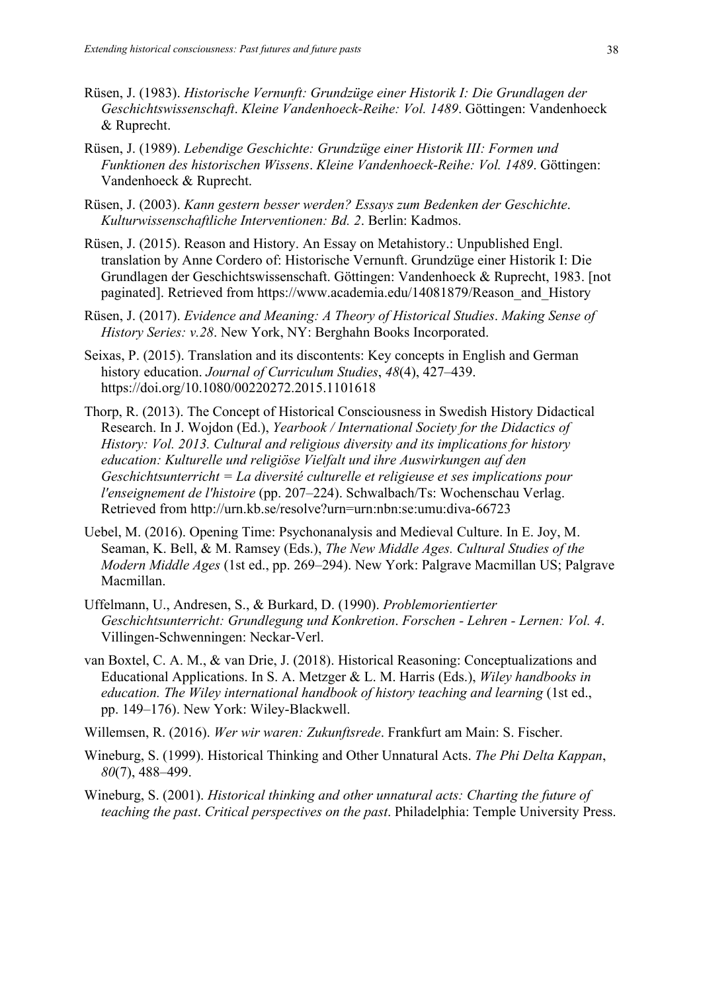- Rüsen, J. (1983). *Historische Vernunft: Grundzüge einer Historik I: Die Grundlagen der Geschichtswissenschaft*. *Kleine Vandenhoeck-Reihe: Vol. 1489*. Göttingen: Vandenhoeck & Ruprecht.
- Rüsen, J. (1989). *Lebendige Geschichte: Grundzüge einer Historik III: Formen und Funktionen des historischen Wissens*. *Kleine Vandenhoeck-Reihe: Vol. 1489*. Göttingen: Vandenhoeck & Ruprecht.
- Rüsen, J. (2003). *Kann gestern besser werden? Essays zum Bedenken der Geschichte*. *Kulturwissenschaftliche Interventionen: Bd. 2*. Berlin: Kadmos.
- Rüsen, J. (2015). Reason and History. An Essay on Metahistory.: Unpublished Engl. translation by Anne Cordero of: Historische Vernunft. Grundzüge einer Historik I: Die Grundlagen der Geschichtswissenschaft. Göttingen: Vandenhoeck & Ruprecht, 1983. [not paginated]. Retrieved from https://www.academia.edu/14081879/Reason\_and\_History
- Rüsen, J. (2017). *Evidence and Meaning: A Theory of Historical Studies*. *Making Sense of History Series: v.28*. New York, NY: Berghahn Books Incorporated.
- Seixas, P. (2015). Translation and its discontents: Key concepts in English and German history education. *Journal of Curriculum Studies*, *48*(4), 427–439. https://doi.org/10.1080/00220272.2015.1101618
- Thorp, R. (2013). The Concept of Historical Consciousness in Swedish History Didactical Research. In J. Wojdon (Ed.), *Yearbook / International Society for the Didactics of History: Vol. 2013. Cultural and religious diversity and its implications for history education: Kulturelle und religiöse Vielfalt und ihre Auswirkungen auf den Geschichtsunterricht = La diversité culturelle et religieuse et ses implications pour l'enseignement de l'histoire* (pp. 207–224). Schwalbach/Ts: Wochenschau Verlag. Retrieved from http://urn.kb.se/resolve?urn=urn:nbn:se:umu:diva-66723
- Uebel, M. (2016). Opening Time: Psychonanalysis and Medieval Culture. In E. Joy, M. Seaman, K. Bell, & M. Ramsey (Eds.), *The New Middle Ages. Cultural Studies of the Modern Middle Ages* (1st ed., pp. 269–294). New York: Palgrave Macmillan US; Palgrave Macmillan.
- Uffelmann, U., Andresen, S., & Burkard, D. (1990). *Problemorientierter Geschichtsunterricht: Grundlegung und Konkretion*. *Forschen - Lehren - Lernen: Vol. 4*. Villingen-Schwenningen: Neckar-Verl.
- van Boxtel, C. A. M., & van Drie, J. (2018). Historical Reasoning: Conceptualizations and Educational Applications. In S. A. Metzger & L. M. Harris (Eds.), *Wiley handbooks in education. The Wiley international handbook of history teaching and learning (1st ed.,* pp. 149–176). New York: Wiley-Blackwell.

Willemsen, R. (2016). *Wer wir waren: Zukunftsrede*. Frankfurt am Main: S. Fischer.

- Wineburg, S. (1999). Historical Thinking and Other Unnatural Acts. *The Phi Delta Kappan*, *80*(7), 488–499.
- Wineburg, S. (2001). *Historical thinking and other unnatural acts: Charting the future of teaching the past*. *Critical perspectives on the past*. Philadelphia: Temple University Press.